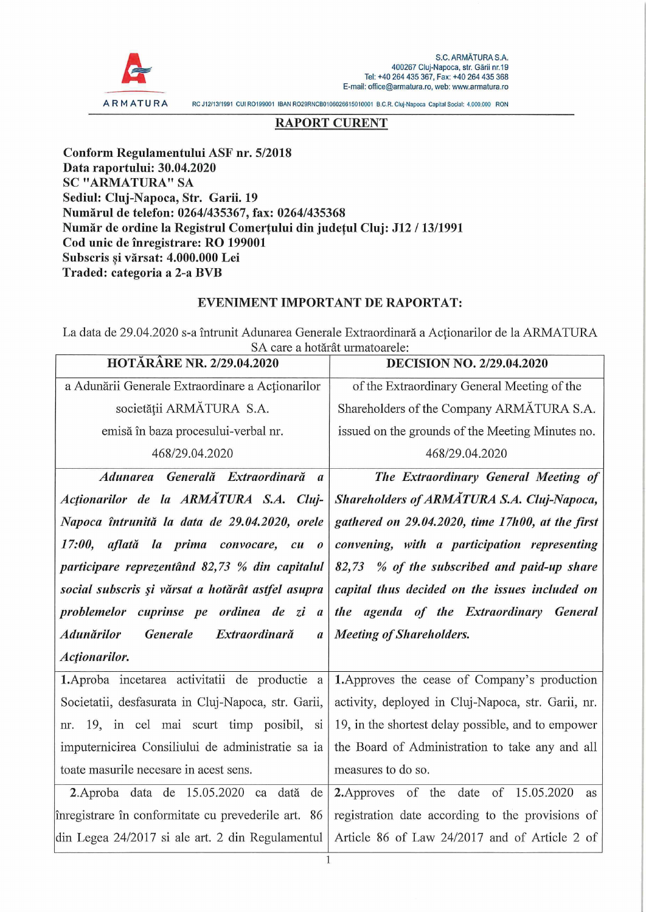

AR MATURA RC J12/13/1991 GUI R0199001 IBAN R029RNCB0106026615010001 B.C.R. Cluj-Napoca Capital Social: 4.000.000 RON

## **RAPORT CURENT**

**Conform Regulamentului ASF nr. 5/2018 Data raportului: 30.04.2020 SC "ARMATURA" SA Sediul: Cluj-Napoca, Str. Garii. 19 Numärul de telefon: 0264/435367, fax: 0264/435368 Numär de ordine la Registrul Comertului din judetul Cluj: J12 / 13/1991 Cod unic de inregistrare: RO 199001 Subscris si värsat: 4.000.000 Lei** 5 **Traded: categoria a 2-a BVB**

## **EVENIMENT IMPORTANT DE RAPORTAT:**

La data de 29.04.2020 s-a întrunit Adunarea Generale Extraordinară a Acționarilor de la ARMATURA SA care a hotärät urmatoarele:

| <b>HOTĂRÂRE NR. 2/29.04.2020</b>                                   | <b>DECISION NO. 2/29.04.2020</b>                   |
|--------------------------------------------------------------------|----------------------------------------------------|
| a Adunării Generale Extraordinare a Acționarilor                   | of the Extraordinary General Meeting of the        |
| societății ARMĂTURA S.A.                                           | Shareholders of the Company ARMATURA S.A.          |
| emisă în baza procesului-verbal nr.                                | issued on the grounds of the Meeting Minutes no.   |
| 468/29.04.2020                                                     | 468/29.04.2020                                     |
| Adunarea Generală Extraordinară a                                  | The Extraordinary General Meeting of               |
| Actionarilor de la ARMATURA S.A. Cluj-                             | Shareholders of ARMATURA S.A. Cluj-Napoca,         |
| Napoca întrunită la data de 29.04.2020, orele                      | gathered on 29.04.2020, time 17h00, at the first   |
| 17:00, aflată la prima convocare, cu o                             | convening, with a participation representing       |
| participare reprezentând 82,73 % din capitalul                     | 82,73 % of the subscribed and paid-up share        |
| social subscris și vărsat a hotărât astfel asupra                  | capital thus decided on the issues included on     |
|                                                                    |                                                    |
| problemelor cuprinse pe ordinea de zi a                            | the agenda of the Extraordinary General            |
| Generale<br>Extraordinară<br><b>Adunărilor</b><br>$\boldsymbol{a}$ | <b>Meeting of Shareholders.</b>                    |
| Actionarilor.                                                      |                                                    |
| 1. Aproba incetarea activitatii de productie a                     | 1. Approves the cease of Company's production      |
| Societatii, desfasurata in Cluj-Napoca, str. Garii,                | activity, deployed in Cluj-Napoca, str. Garii, nr. |
| nr. 19, in cel mai scurt timp posibil, si                          | 19, in the shortest delay possible, and to empower |
| imputernicirea Consiliului de administratie sa ia                  | the Board of Administration to take any and all    |
| toate masurile necesare in acest sens.                             | measures to do so.                                 |
| 2. Aproba data de 15.05.2020 ca dată<br>de                         | 2. Approves of the date of 15.05.2020<br>as        |
| înregistrare în conformitate cu prevederile art. 86                | registration date according to the provisions of   |